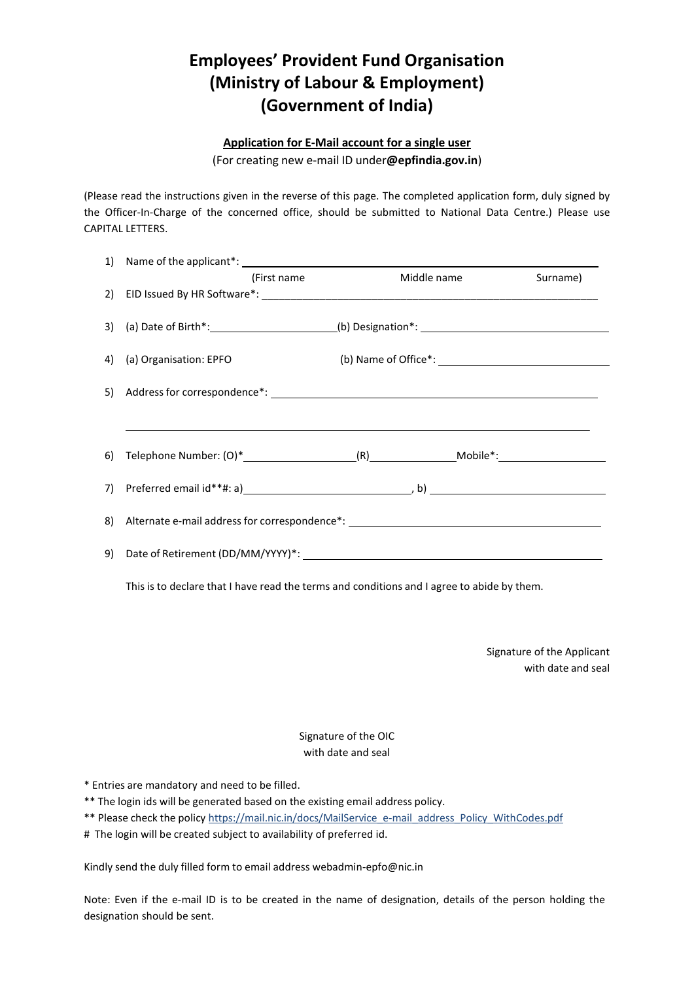## **Employees' Provident Fund Organisation (Ministry of Labour & Employment) (Government of India)**

## **Application for E-Mail account for a single user**

(For creating new e-mail ID under**@epfindia.gov.in**)

(Please read the instructions given in the reverse of this page. The completed application form, duly signed by the Officer-In-Charge of the concerned office, should be submitted to National Data Centre.) Please use CAPITAL LETTERS.

| (First name)                                                                                                                                                                                                                   | Middle name | Surname) |
|--------------------------------------------------------------------------------------------------------------------------------------------------------------------------------------------------------------------------------|-------------|----------|
|                                                                                                                                                                                                                                |             |          |
| 4) (a) Organisation: EPFO                                                                                                                                                                                                      |             |          |
|                                                                                                                                                                                                                                |             |          |
|                                                                                                                                                                                                                                |             |          |
|                                                                                                                                                                                                                                |             |          |
| 7) Preferred email id**#: a) New York (2014) B (2014) B (2014) B (2014) B (2014) B (2014) B (2014) B (2014) B (2014) B (2014) B (2014) B (2014) B (2014) B (2014) B (2014) B (2014) B (2014) B (2014) B (2014) B (2014) B (201 |             |          |
|                                                                                                                                                                                                                                |             |          |
|                                                                                                                                                                                                                                |             |          |

This is to declare that I have read the terms and conditions and I agree to abide by them.

Signature of the Applicant with date and seal

## Signature of the OIC with date and seal

\* Entries are mandatory and need to be filled.

\*\* The login ids will be generated based on the existing email address policy.

- \*\* Please check the polic[y https://mail.nic.in/docs/MailService\\_e-mail\\_address\\_Policy\\_WithCodes.pdf](https://mail.nic.in/docs/MailService_e-mail_address_Policy_WithCodes.pdf)
- # The login will be created subject to availability of preferred id.

Kindly send the duly filled form to email address [webadmin-epfo@nic.in](mailto:webadmin-epfo@nic.in)

Note: Even if the e-mail ID is to be created in the name of designation, details of the person holding the designation should be sent.